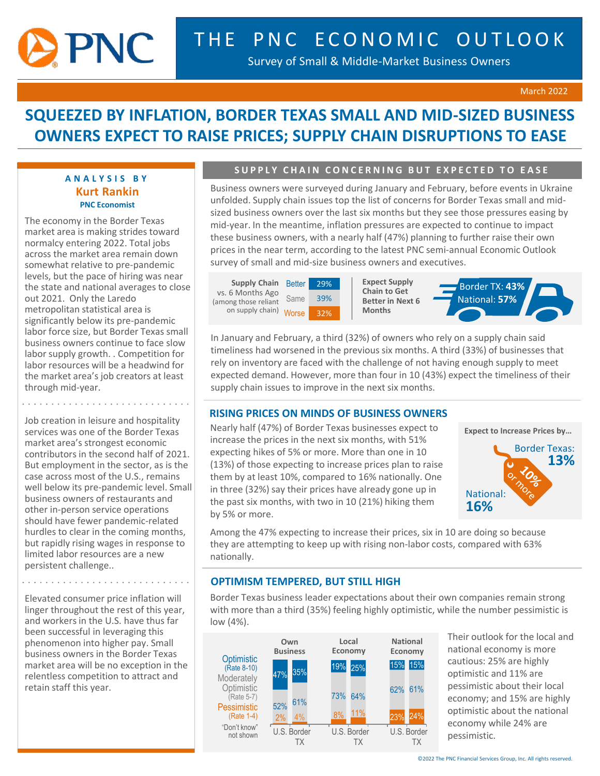

Survey of Small & Middle-Market Business Owners

#### March 2022

# **SQUEEZED BY INFLATION, BORDER TEXAS SMALL AND MID-SIZED BUSINESS OWNERS EXPECT TO RAISE PRICES; SUPPLY CHAIN DISRUPTIONS TO EASE**

### **A N A L Y S I S B Y Kurt Rankin PNC Economist**

The economy in the Border Texas market area is making strides toward normalcy entering 2022. Total jobs across the market area remain down somewhat relative to pre-pandemic levels, but the pace of hiring was near the state and national averages to close out 2021. Only the Laredo metropolitan statistical area is significantly below its pre-pandemic labor force size, but Border Texas small business owners continue to face slow labor supply growth. . Competition for labor resources will be a headwind for the market area's job creators at least through mid-year.

Job creation in leisure and hospitality services was one of the Border Texas market area's strongest economic contributors in the second half of 2021. But employment in the sector, as is the case across most of the U.S., remains well below its pre-pandemic level. Small business owners of restaurants and other in-person service operations should have fewer pandemic-related hurdles to clear in the coming months, but rapidly rising wages in response to limited labor resources are a new persistent challenge..

. . . . . . . . . . .

Elevated consumer price inflation will linger throughout the rest of this year, and workers in the U.S. have thus far been successful in leveraging this phenomenon into higher pay. Small business owners in the Border Texas market area will be no exception in the relentless competition to attract and retain staff this year.

# **SUPPLY CHAIN CONCERNING BUT EXPECTED TO EASE**

Business owners were surveyed during January and February, before events in Ukraine unfolded. Supply chain issues top the list of concerns for Border Texas small and midsized business owners over the last six months but they see those pressures easing by mid-year. In the meantime, inflation pressures are expected to continue to impact these business owners, with a nearly half (47%) planning to further raise their own prices in the near term, according to the latest PNC semi-annual Economic Outlook survey of small and mid-size business owners and executives.

**Supply Chain** Better Same on supply chain) Worse 32% vs. 6 Months Ago (among those reliant



**Expect Supply Chain to Get Better in Next 6 Months**



In January and February, a third (32%) of owners who rely on a supply chain said timeliness had worsened in the previous six months. A third (33%) of businesses that rely on inventory are faced with the challenge of not having enough supply to meet expected demand. However, more than four in 10 (43%) expect the timeliness of their supply chain issues to improve in the next six months.

#### **RISING PRICES ON MINDS OF BUSINESS OWNERS**

Nearly half (47%) of Border Texas businesses expect to increase the prices in the next six months, with 51% expecting hikes of 5% or more. More than one in 10 (13%) of those expecting to increase prices plan to raise them by at least 10%, compared to 16% nationally. One in three (32%) say their prices have already gone up in the past six months, with two in 10 (21%) hiking them by 5% or more.



Among the 47% expecting to increase their prices, six in 10 are doing so because they are attempting to keep up with rising non-labor costs, compared with 63% nationally.

## **OPTIMISM TEMPERED, BUT STILL HIGH**

Border Texas business leader expectations about their own companies remain strong with more than a third (35%) feeling highly optimistic, while the number pessimistic is low (4%).



Their outlook for the local and national economy is more cautious: 25% are highly optimistic and 11% are pessimistic about their local economy; and 15% are highly optimistic about the national economy while 24% are pessimistic.